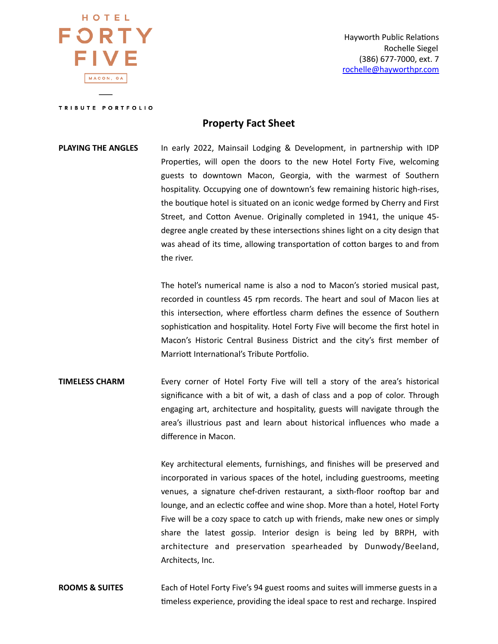HOTEL FORTY FIVF MACON, GA

Hayworth Public Relations Rochelle Siegel (386) 677-7000, ext. 7 [rochelle@hayworthpr.com](mailto:rochelle@hayworthpr.com)

TRIBUTE PORTFOLIO

### **Property Fact Sheet**

# **PLAYING THE ANGLES** In early 2022, Mainsail Lodging & Development, in partnership with IDP Properties, will open the doors to the new Hotel Forty Five, welcoming guests to downtown Macon, Georgia, with the warmest of Southern hospitality. Occupying one of downtown's few remaining historic high-rises, the boutique hotel is situated on an iconic wedge formed by Cherry and First Street, and Cotton Avenue. Originally completed in 1941, the unique 45degree angle created by these intersections shines light on a city design that was ahead of its time, allowing transportation of cotton barges to and from the river.

The hotel's numerical name is also a nod to Macon's storied musical past, recorded in countless 45 rpm records. The heart and soul of Macon lies at this intersection, where effortless charm defines the essence of Southern sophistication and hospitality. Hotel Forty Five will become the first hotel in Macon's Historic Central Business District and the city's first member of Marriott International's Tribute Portfolio.

## **TIMELESS CHARM** Every corner of Hotel Forty Five will tell a story of the area's historical significance with a bit of wit, a dash of class and a pop of color. Through engaging art, architecture and hospitality, guests will navigate through the area's illustrious past and learn about historical influences who made a difference in Macon.

Key architectural elements, furnishings, and finishes will be preserved and incorporated in various spaces of the hotel, including guestrooms, meeting venues, a signature chef-driven restaurant, a sixth-floor rooftop bar and lounge, and an eclectic coffee and wine shop. More than a hotel, Hotel Forty Five will be a cozy space to catch up with friends, make new ones or simply share the latest gossip. Interior design is being led by BRPH, with architecture and preservation spearheaded by Dunwody/Beeland, Architects, Inc.

### **ROOMS & SUITES** Each of Hotel Forty Five's 94 guest rooms and suites will immerse guests in a timeless experience, providing the ideal space to rest and recharge. Inspired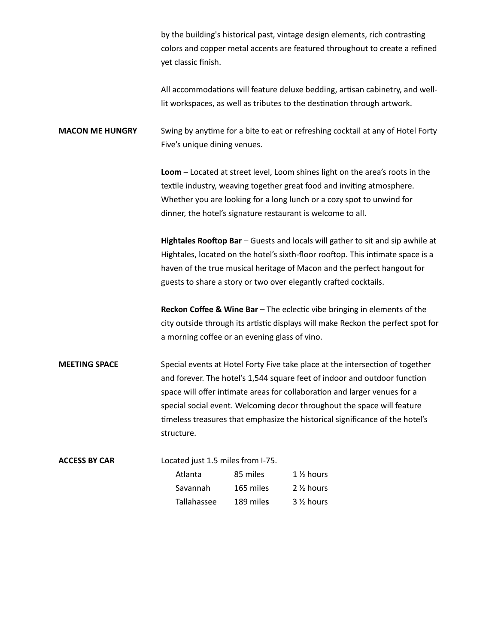by the building's historical past, vintage design elements, rich contrasting colors and copper metal accents are featured throughout to create a refined yet classic finish.

All accommodations will feature deluxe bedding, artisan cabinetry, and welllit workspaces, as well as tributes to the destination through artwork.

**MACON ME HUNGRY** Swing by anytime for a bite to eat or refreshing cocktail at any of Hotel Forty Five's unique dining venues.

> **Loom** – Located at street level, Loom shines light on the area's roots in the textile industry, weaving together great food and inviting atmosphere. Whether you are looking for a long lunch or a cozy spot to unwind for dinner, the hotel's signature restaurant is welcome to all.

Hightales Rooftop Bar – Guests and locals will gather to sit and sip awhile at Hightales, located on the hotel's sixth-floor rooftop. This intimate space is a haven of the true musical heritage of Macon and the perfect hangout for guests to share a story or two over elegantly crafted cocktails.

**Reckon Coffee & Wine Bar** – The eclectic vibe bringing in elements of the city outside through its artistic displays will make Reckon the perfect spot for a morning coffee or an evening glass of vino.

## **MEETING SPACE** Special events at Hotel Forty Five take place at the intersection of together and forever. The hotel's 1,544 square feet of indoor and outdoor function space will offer intimate areas for collaboration and larger venues for a special social event. Welcoming decor throughout the space will feature timeless treasures that emphasize the historical significance of the hotel's structure.

| <b>ACCESS BY CAR</b> | Located just 1.5 miles from I-75. |           |                        |  |
|----------------------|-----------------------------------|-----------|------------------------|--|
|                      | Atlanta                           | 85 miles  | $1\%$ hours            |  |
|                      | Savannah                          | 165 miles | 2 <sup>1/2</sup> hours |  |
|                      | Tallahassee                       | 189 miles | 3 <sup>1/2</sup> hours |  |